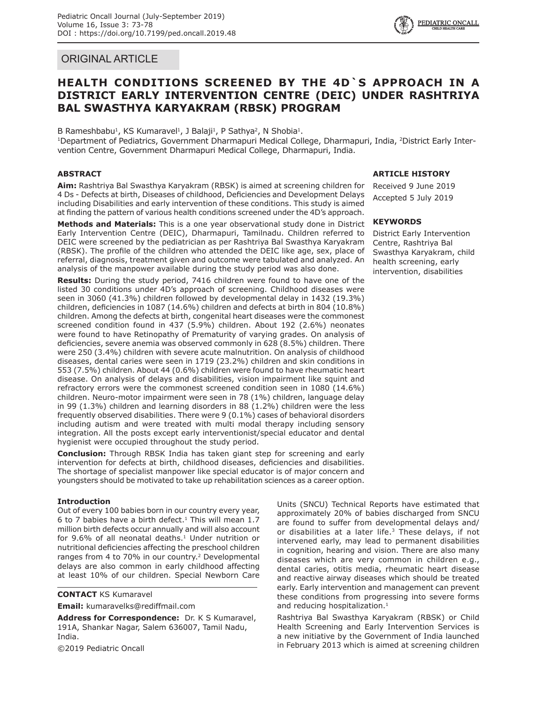# ORIGINAL ARTICLE

# **HEALTH CONDITIONS SCREENED BY THE 4D`S APPROACH IN A DISTRICT EARLY INTERVENTION CENTRE (DEIC) UNDER RASHTRIYA BAL SWASTHYA KARYAKRAM (RBSK) PROGRAM**

B Rameshbabu<sup>1</sup>, KS Kumaravel<sup>1</sup>, J Balaji<sup>1</sup>, P Sathya<sup>2</sup>, N Shobia<sup>1</sup>.

<sup>1</sup>Department of Pediatrics, Government Dharmapuri Medical College, Dharmapuri, India, <sup>2</sup>District Early Intervention Centre, Government Dharmapuri Medical College, Dharmapuri, India.

# **ABSTRACT**

**Aim:** Rashtriya Bal Swasthya Karyakram (RBSK) is aimed at screening children for 4 Ds - Defects at birth, Diseases of childhood, Deficiencies and Development Delays including Disabilities and early intervention of these conditions. This study is aimed at finding the pattern of various health conditions screened under the 4D's approach.

**Methods and Materials:** This is a one year observational study done in District Early Intervention Centre (DEIC), Dharmapuri, Tamilnadu. Children referred to DEIC were screened by the pediatrician as per Rashtriya Bal Swasthya Karyakram (RBSK). The profile of the children who attended the DEIC like age, sex, place of referral, diagnosis, treatment given and outcome were tabulated and analyzed. An analysis of the manpower available during the study period was also done.

**Results:** During the study period, 7416 children were found to have one of the listed 30 conditions under 4D's approach of screening. Childhood diseases were seen in 3060 (41.3%) children followed by developmental delay in 1432 (19.3%) children, deficiencies in 1087 (14.6%) children and defects at birth in 804 (10.8%) children. Among the defects at birth, congenital heart diseases were the commonest screened condition found in 437 (5.9%) children. About 192 (2.6%) neonates were found to have Retinopathy of Prematurity of varying grades. On analysis of deficiencies, severe anemia was observed commonly in 628 (8.5%) children. There were 250 (3.4%) children with severe acute malnutrition. On analysis of childhood diseases, dental caries were seen in 1719 (23.2%) children and skin conditions in 553 (7.5%) children. About 44 (0.6%) children were found to have rheumatic heart disease. On analysis of delays and disabilities, vision impairment like squint and refractory errors were the commonest screened condition seen in 1080 (14.6%) children. Neuro-motor impairment were seen in 78 (1%) children, language delay in 99 (1.3%) children and learning disorders in 88 (1.2%) children were the less frequently observed disabilities. There were 9 (0.1%) cases of behavioral disorders including autism and were treated with multi modal therapy including sensory integration. All the posts except early interventionist/special educator and dental hygienist were occupied throughout the study period.

**Conclusion:** Through RBSK India has taken giant step for screening and early intervention for defects at birth, childhood diseases, deficiencies and disabilities. The shortage of specialist manpower like special educator is of major concern and youngsters should be motivated to take up rehabilitation sciences as a career option.

## **Introduction**

Out of every 100 babies born in our country every year, 6 to 7 babies have a birth defect. $1$  This will mean 1.7 million birth defects occur annually and will also account for  $9.6\%$  of all neonatal deaths.<sup>1</sup> Under nutrition or nutritional deficiencies affecting the preschool children ranges from 4 to 70% in our country.<sup>2</sup> Developmental delays are also common in early childhood affecting at least 10% of our children. Special Newborn Care

**CONTACT** KS Kumaravel

**Email:** kumaravelks@rediffmail.com

**Address for Correspondence:** Dr. K S Kumaravel, 191A, Shankar Nagar, Salem 636007, Tamil Nadu, India.

©2019 Pediatric Oncall

## **ARTICLE HISTORY**

Received 9 June 2019 Accepted 5 July 2019

## **KEYWORDS**

District Early Intervention Centre, Rashtriya Bal Swasthya Karyakram, child health screening, early intervention, disabilities

Units (SNCU) Technical Reports have estimated that approximately 20% of babies discharged from SNCU are found to suffer from developmental delays and/ or disabilities at a later life.<sup>3</sup> These delays, if not intervened early, may lead to permanent disabilities in cognition, hearing and vision. There are also many diseases which are very common in children e.g., dental caries, otitis media, rheumatic heart disease and reactive airway diseases which should be treated early. Early intervention and management can prevent these conditions from progressing into severe forms and reducing hospitalization.<sup>1</sup>

Rashtriya Bal Swasthya Karyakram (RBSK) or Child Health Screening and Early Intervention Services is a new initiative by the Government of India launched in February 2013 which is aimed at screening children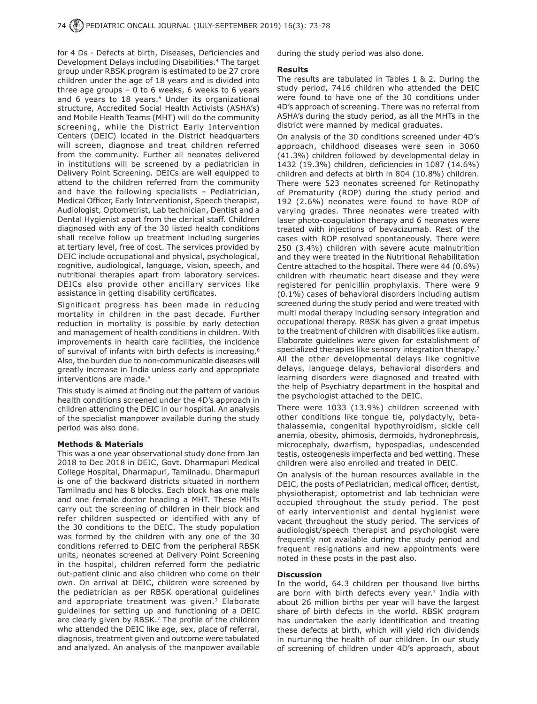for 4 Ds - Defects at birth, Diseases, Deficiencies and Development Delays including Disabilities.4 The target group under RBSK program is estimated to be 27 crore children under the age of 18 years and is divided into three age groups  $-0$  to 6 weeks, 6 weeks to 6 years and 6 years to 18 years.<sup>5</sup> Under its organizational structure, Accredited Social Health Activists (ASHA's) and Mobile Health Teams (MHT) will do the community screening, while the District Early Intervention Centers (DEIC) located in the District headquarters will screen, diagnose and treat children referred from the community. Further all neonates delivered in institutions will be screened by a pediatrician in Delivery Point Screening. DEICs are well equipped to attend to the children referred from the community and have the following specialists – Pediatrician, Medical Officer, Early Interventionist, Speech therapist, Audiologist, Optometrist, Lab technician, Dentist and a Dental Hygienist apart from the clerical staff. Children diagnosed with any of the 30 listed health conditions shall receive follow up treatment including surgeries at tertiary level, free of cost. The services provided by DEIC include occupational and physical, psychological, cognitive, audiological, language, vision, speech, and nutritional therapies apart from laboratory services. DEICs also provide other ancillary services like assistance in getting disability certificates.

Significant progress has been made in reducing mortality in children in the past decade. Further reduction in mortality is possible by early detection and management of health conditions in children. With improvements in health care facilities, the incidence of survival of infants with birth defects is increasing.<sup>6</sup> Also, the burden due to non-communicable diseases will greatly increase in India unless early and appropriate interventions are made.<sup>6</sup>

This study is aimed at finding out the pattern of various health conditions screened under the 4D's approach in children attending the DEIC in our hospital. An analysis of the specialist manpower available during the study period was also done.

#### **Methods & Materials**

This was a one year observational study done from Jan 2018 to Dec 2018 in DEIC, Govt. Dharmapuri Medical College Hospital, Dharmapuri, Tamilnadu. Dharmapuri is one of the backward districts situated in northern Tamilnadu and has 8 blocks. Each block has one male and one female doctor heading a MHT. These MHTs carry out the screening of children in their block and refer children suspected or identified with any of the 30 conditions to the DEIC. The study population was formed by the children with any one of the 30 conditions referred to DEIC from the peripheral RBSK units, neonates screened at Delivery Point Screening in the hospital, children referred form the pediatric out-patient clinic and also children who come on their own. On arrival at DEIC, children were screened by the pediatrician as per RBSK operational guidelines and appropriate treatment was given. $<sup>7</sup>$  Elaborate</sup> guidelines for setting up and functioning of a DEIC are clearly given by RBSK.<sup>7</sup> The profile of the children who attended the DEIC like age, sex, place of referral, diagnosis, treatment given and outcome were tabulated and analyzed. An analysis of the manpower available

during the study period was also done.

#### **Results**

The results are tabulated in Tables 1 & 2. During the study period, 7416 children who attended the DEIC were found to have one of the 30 conditions under 4D's approach of screening. There was no referral from ASHA's during the study period, as all the MHTs in the district were manned by medical graduates.

On analysis of the 30 conditions screened under 4D's approach, childhood diseases were seen in 3060 (41.3%) children followed by developmental delay in 1432 (19.3%) children, deficiencies in 1087 (14.6%) children and defects at birth in 804 (10.8%) children. There were 523 neonates screened for Retinopathy of Prematurity (ROP) during the study period and 192 (2.6%) neonates were found to have ROP of varying grades. Three neonates were treated with laser photo-coagulation therapy and 6 neonates were treated with injections of bevacizumab. Rest of the cases with ROP resolved spontaneously. There were 250 (3.4%) children with severe acute malnutrition and they were treated in the Nutritional Rehabilitation Centre attached to the hospital. There were 44 (0.6%) children with rheumatic heart disease and they were registered for penicillin prophylaxis. There were 9 (0.1%) cases of behavioral disorders including autism screened during the study period and were treated with multi modal therapy including sensory integration and occupational therapy. RBSK has given a great impetus to the treatment of children with disabilities like autism. Elaborate guidelines were given for establishment of specialized therapies like sensory integration therapy.<sup>7</sup> All the other developmental delays like cognitive delays, language delays, behavioral disorders and learning disorders were diagnosed and treated with the help of Psychiatry department in the hospital and the psychologist attached to the DEIC.

There were 1033 (13.9%) children screened with other conditions like tongue tie, polydactyly, betathalassemia, congenital hypothyroidism, sickle cell anemia, obesity, phimosis, dermoids, hydronephrosis, microcephaly, dwarfism, hypospadias, undescended testis, osteogenesis imperfecta and bed wetting. These children were also enrolled and treated in DEIC.

On analysis of the human resources available in the DEIC, the posts of Pediatrician, medical officer, dentist, physiotherapist, optometrist and lab technician were occupied throughout the study period. The post of early interventionist and dental hygienist were vacant throughout the study period. The services of audiologist/speech therapist and psychologist were frequently not available during the study period and frequent resignations and new appointments were noted in these posts in the past also.

#### **Discussion**

In the world, 64.3 children per thousand live births are born with birth defects every year.<sup>1</sup> India with about 26 million births per year will have the largest share of birth defects in the world. RBSK program has undertaken the early identification and treating these defects at birth, which will yield rich dividends in nurturing the health of our children. In our study of screening of children under 4D's approach, about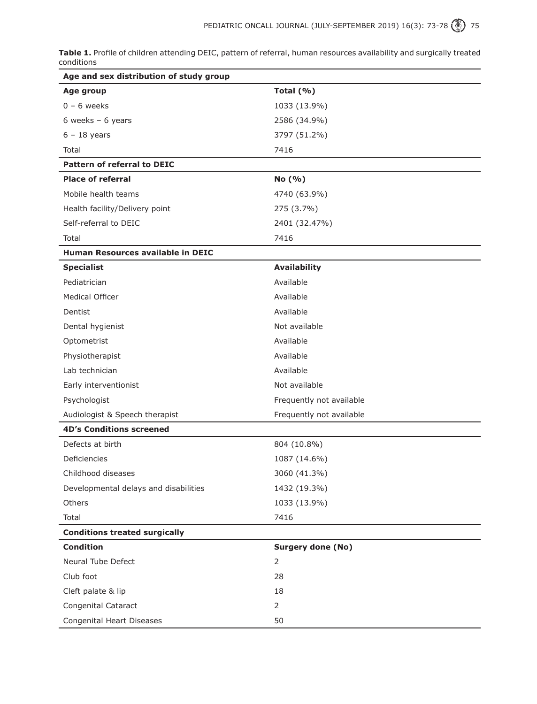**Table 1.** Profile of children attending DEIC, pattern of referral, human resources availability and surgically treated conditions

| Age and sex distribution of study group  |                          |
|------------------------------------------|--------------------------|
| Age group                                | Total $(% )$             |
| $0 - 6$ weeks                            | 1033 (13.9%)             |
| 6 weeks $-6$ years                       | 2586 (34.9%)             |
| $6 - 18$ years                           | 3797 (51.2%)             |
| Total                                    | 7416                     |
| <b>Pattern of referral to DEIC</b>       |                          |
| <b>Place of referral</b>                 | No (% )                  |
| Mobile health teams                      | 4740 (63.9%)             |
| Health facility/Delivery point           | 275 (3.7%)               |
| Self-referral to DEIC                    | 2401 (32.47%)            |
| Total                                    | 7416                     |
| <b>Human Resources available in DEIC</b> |                          |
| <b>Specialist</b>                        | <b>Availability</b>      |
| Pediatrician                             | Available                |
| Medical Officer                          | Available                |
| Dentist                                  | Available                |
| Dental hygienist                         | Not available            |
| Optometrist                              | Available                |
| Physiotherapist                          | Available                |
| Lab technician                           | Available                |
| Early interventionist                    | Not available            |
| Psychologist                             | Frequently not available |
| Audiologist & Speech therapist           | Frequently not available |
| <b>4D's Conditions screened</b>          |                          |
| Defects at birth                         | 804 (10.8%)              |
| Deficiencies                             | 1087 (14.6%)             |
| Childhood diseases                       | 3060 (41.3%)             |
| Developmental delays and disabilities    | 1432 (19.3%)             |
| Others                                   | 1033 (13.9%)             |
| Total                                    | 7416                     |
| <b>Conditions treated surgically</b>     |                          |
| <b>Condition</b>                         | <b>Surgery done (No)</b> |
| Neural Tube Defect                       | $\overline{2}$           |
| Club foot                                | 28                       |
| Cleft palate & lip                       | 18                       |
| Congenital Cataract                      | $\overline{2}$           |
| Congenital Heart Diseases                | 50                       |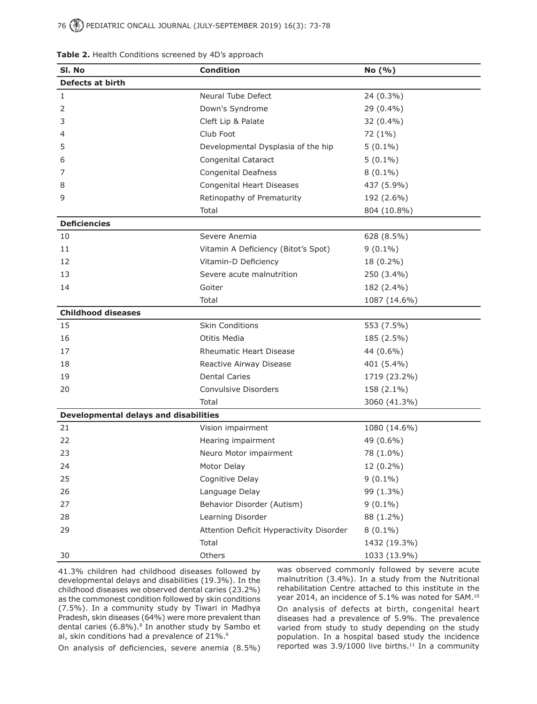| SI. No                                       | <b>Condition</b>                         | No (%)       |  |  |  |
|----------------------------------------------|------------------------------------------|--------------|--|--|--|
| <b>Defects at birth</b>                      |                                          |              |  |  |  |
| $\mathbf{1}$                                 | Neural Tube Defect                       | 24 (0.3%)    |  |  |  |
| 2                                            | Down's Syndrome                          | 29 (0.4%)    |  |  |  |
| 3                                            | Cleft Lip & Palate                       | 32 (0.4%)    |  |  |  |
| 4                                            | Club Foot                                | 72 (1%)      |  |  |  |
| 5                                            | Developmental Dysplasia of the hip       | $5(0.1\%)$   |  |  |  |
| 6                                            | Congenital Cataract                      | $5(0.1\%)$   |  |  |  |
| 7                                            | <b>Congenital Deafness</b>               | $8(0.1\%)$   |  |  |  |
| 8                                            | Congenital Heart Diseases                | 437 (5.9%)   |  |  |  |
| 9                                            | Retinopathy of Prematurity               | 192 (2.6%)   |  |  |  |
|                                              | Total                                    | 804 (10.8%)  |  |  |  |
| <b>Deficiencies</b>                          |                                          |              |  |  |  |
| 10                                           | Severe Anemia                            | 628 (8.5%)   |  |  |  |
| 11                                           | Vitamin A Deficiency (Bitot's Spot)      | $9(0.1\%)$   |  |  |  |
| 12                                           | Vitamin-D Deficiency                     | 18 (0.2%)    |  |  |  |
| 13                                           | Severe acute malnutrition                | 250 (3.4%)   |  |  |  |
| 14                                           | Goiter                                   | 182 (2.4%)   |  |  |  |
|                                              | Total                                    | 1087 (14.6%) |  |  |  |
| <b>Childhood diseases</b>                    |                                          |              |  |  |  |
| 15                                           | <b>Skin Conditions</b>                   | 553 (7.5%)   |  |  |  |
| 16                                           | Otitis Media                             | 185 (2.5%)   |  |  |  |
| 17                                           | <b>Rheumatic Heart Disease</b>           | 44 (0.6%)    |  |  |  |
| 18                                           | Reactive Airway Disease                  | 401 (5.4%)   |  |  |  |
| 19                                           | <b>Dental Caries</b>                     | 1719 (23.2%) |  |  |  |
| 20                                           | Convulsive Disorders                     | 158 (2.1%)   |  |  |  |
|                                              | Total                                    | 3060 (41.3%) |  |  |  |
| <b>Developmental delays and disabilities</b> |                                          |              |  |  |  |
| 21                                           | Vision impairment                        | 1080 (14.6%) |  |  |  |
| 22                                           | Hearing impairment                       | 49 (0.6%)    |  |  |  |
| 23                                           | Neuro Motor impairment                   | 78 (1.0%)    |  |  |  |
| 24                                           | Motor Delay                              | 12 (0.2%)    |  |  |  |
| 25                                           | Cognitive Delay                          | $9(0.1\%)$   |  |  |  |
| 26                                           | Language Delay                           | 99 (1.3%)    |  |  |  |
| 27                                           | Behavior Disorder (Autism)               | $9(0.1\%)$   |  |  |  |
| 28                                           | Learning Disorder                        | 88 (1.2%)    |  |  |  |
| 29                                           | Attention Deficit Hyperactivity Disorder | $8(0.1\%)$   |  |  |  |
|                                              | Total                                    | 1432 (19.3%) |  |  |  |
| 30                                           | Others                                   | 1033 (13.9%) |  |  |  |

| Table 2. Health Conditions screened by 4D's approach |  |  |  |  |
|------------------------------------------------------|--|--|--|--|
|------------------------------------------------------|--|--|--|--|

41.3% children had childhood diseases followed by developmental delays and disabilities (19.3%). In the childhood diseases we observed dental caries (23.2%) as the commonest condition followed by skin conditions (7.5%). In a community study by Tiwari in Madhya Pradesh, skin diseases (64%) were more prevalent than dental caries (6.8%).<sup>8</sup> In another study by Sambo et al, skin conditions had a prevalence of 21%.<sup>9</sup>

was observed commonly followed by severe acute malnutrition (3.4%). In a study from the Nutritional rehabilitation Centre attached to this institute in the year 2014, an incidence of 5.1% was noted for SAM.10

On analysis of defects at birth, congenital heart diseases had a prevalence of 5.9%. The prevalence varied from study to study depending on the study population. In a hospital based study the incidence reported was 3.9/1000 live births.<sup>11</sup> In a community

On analysis of deficiencies, severe anemia (8.5%)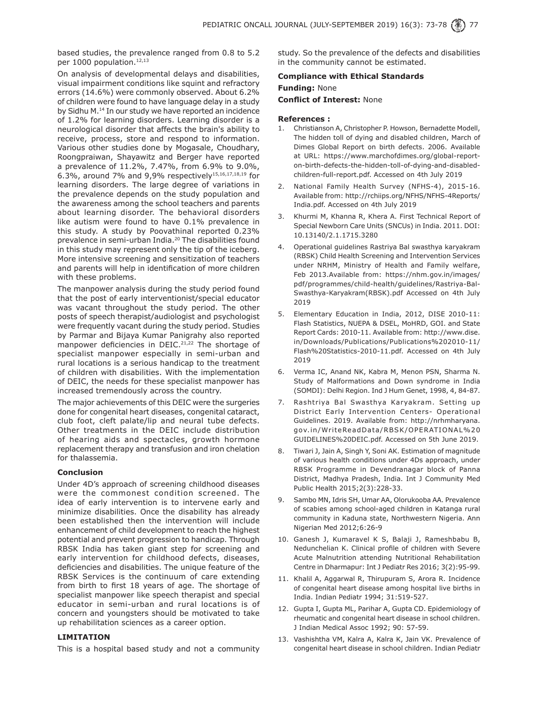based studies, the prevalence ranged from 0.8 to 5.2 per 1000 population.<sup>12,13</sup>

On analysis of developmental delays and disabilities, visual impairment conditions like squint and refractory errors (14.6%) were commonly observed. About 6.2% of children were found to have language delay in a study by Sidhu M.14 In our study we have reported an incidence of 1.2% for learning disorders. Learning disorder is a neurological disorder that affects the brain's ability to receive, process, store and respond to information. Various other studies done by Mogasale, Choudhary, Roongpraiwan, Shayawitz and Berger have reported a prevalence of 11.2%, 7.47%, from 6.9% to 9.0%, 6.3%, around 7% and 9,9% respectively15,16,17,18,19 for learning disorders. The large degree of variations in the prevalence depends on the study population and the awareness among the school teachers and parents about learning disorder. The behavioral disorders like autism were found to have 0.1% prevalence in this study. A study by Poovathinal reported 0.23% prevalence in semi-urban India.20 The disabilities found in this study may represent only the tip of the iceberg. More intensive screening and sensitization of teachers and parents will help in identification of more children with these problems.

The manpower analysis during the study period found that the post of early interventionist/special educator was vacant throughout the study period. The other posts of speech therapist/audiologist and psychologist were frequently vacant during the study period. Studies by Parmar and Bijaya Kumar Panigrahy also reported manpower deficiencies in DEIC.<sup>21,22</sup> The shortage of specialist manpower especially in semi-urban and rural locations is a serious handicap to the treatment of children with disabilities. With the implementation of DEIC, the needs for these specialist manpower has increased tremendously across the country.

The major achievements of this DEIC were the surgeries done for congenital heart diseases, congenital cataract, club foot, cleft palate/lip and neural tube defects. Other treatments in the DEIC include distribution of hearing aids and spectacles, growth hormone replacement therapy and transfusion and iron chelation for thalassemia.

## **Conclusion**

Under 4D's approach of screening childhood diseases were the commonest condition screened. The idea of early intervention is to intervene early and minimize disabilities. Once the disability has already been established then the intervention will include enhancement of child development to reach the highest potential and prevent progression to handicap. Through RBSK India has taken giant step for screening and early intervention for childhood defects, diseases, deficiencies and disabilities. The unique feature of the RBSK Services is the continuum of care extending from birth to first 18 years of age. The shortage of specialist manpower like speech therapist and special educator in semi-urban and rural locations is of concern and youngsters should be motivated to take up rehabilitation sciences as a career option.

#### **LIMITATION**

This is a hospital based study and not a community

study. So the prevalence of the defects and disabilities in the community cannot be estimated.

# **Compliance with Ethical Standards Funding:** None **Conflict of Interest:** None

#### **References :**

- 1. Christianson A, Christopher P. Howson, Bernadette Modell, The hidden toll of dying and disabled children, March of Dimes Global Report on birth defects. 2006. Available at URL: https://www.marchofdimes.org/global-reporton-birth-defects-the-hidden-toll-of-dying-and-disabledchildren-full-report.pdf. Accessed on 4th July 2019
- 2. National Family Health Survey (NFHS-4), 2015-16. Available from: http://rchiips.org/NFHS/NFHS-4Reports/ India.pdf. Accessed on 4th July 2019
- 3. Khurmi M, Khanna R, Khera A. First Technical Report of Special Newborn Care Units (SNCUs) in India. 2011. DOI: 10.13140/2.1.1715.3280
- 4. Operational guidelines Rastriya Bal swasthya karyakram (RBSK) Child Health Screening and Intervention Services under NRHM, Ministry of Health and Family welfare, Feb 2013.Available from: https://nhm.gov.in/images/ pdf/programmes/child-health/guidelines/Rastriya-Bal-Swasthya-Karyakram(RBSK).pdf Accessed on 4th July 2019
- 5. Elementary Education in India, 2012, DISE 2010-11: Flash Statistics, NUEPA & DSEL, MoHRD, GOI. and State Report Cards: 2010-11. Available from: http://www.dise. in/Downloads/Publications/Publications%202010-11/ Flash%20Statistics-2010-11.pdf. Accessed on 4th July 2019
- 6. Verma IC, Anand NK, Kabra M, Menon PSN, Sharma N. Study of Malformations and Down syndrome in India (SOMDI): Delhi Region. Ind J Hum Genet, 1998, 4, 84-87.
- 7. Rashtriya Bal Swasthya Karyakram. Setting up District Early Intervention Centers- Operational Guidelines. 2019. Available from: http://nrhmharyana. gov.in/WriteReadData/RBSK/OPERATIONAL%20 GUIDELINES%20DEIC.pdf. Accessed on 5th June 2019.
- 8. Tiwari J, Jain A, Singh Y, Soni AK. Estimation of magnitude of various health conditions under 4Ds approach, under RBSK Programme in Devendranagar block of Panna District, Madhya Pradesh, India. Int J Community Med Public Health 2015;2(3):228-33.
- Sambo MN, Idris SH, Umar AA, Olorukooba AA. Prevalence of scabies among school-aged children in Katanga rural community in Kaduna state, Northwestern Nigeria. Ann Nigerian Med 2012;6:26-9
- 10. Ganesh J, Kumaravel K S, Balaji J, Rameshbabu B, Nedunchelian K. Clinical profile of children with Severe Acute Malnutrition attending Nutritional Rehabilitation Centre in Dharmapur: Int J Pediatr Res 2016; 3(2):95-99.
- 11. Khalil A, Aggarwal R, Thirupuram S, Arora R. Incidence of congenital heart disease among hospital live births in India. Indian Pediatr 1994; 31:519-527.
- 12. Gupta I, Gupta ML, Parihar A, Gupta CD. Epidemiology of rheumatic and congenital heart disease in school children. J Indian Medical Assoc 1992; 90: 57-59.
- 13. Vashishtha VM, Kalra A, Kalra K, Jain VK. Prevalence of congenital heart disease in school children. Indian Pediatr